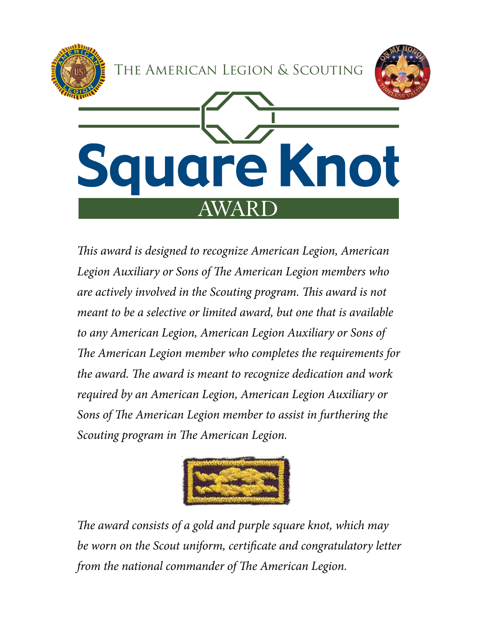

*This award is designed to recognize American Legion, American Legion Auxiliary or Sons of The American Legion members who are actively involved in the Scouting program. This award is not meant to be a selective or limited award, but one that is available to any American Legion, American Legion Auxiliary or Sons of The American Legion member who completes the requirements for the award. The award is meant to recognize dedication and work required by an American Legion, American Legion Auxiliary or Sons of The American Legion member to assist in furthering the Scouting program in The American Legion.*



*The award consists of a gold and purple square knot, which may be worn on the Scout uniform, certificate and congratulatory letter from the national commander of The American Legion.*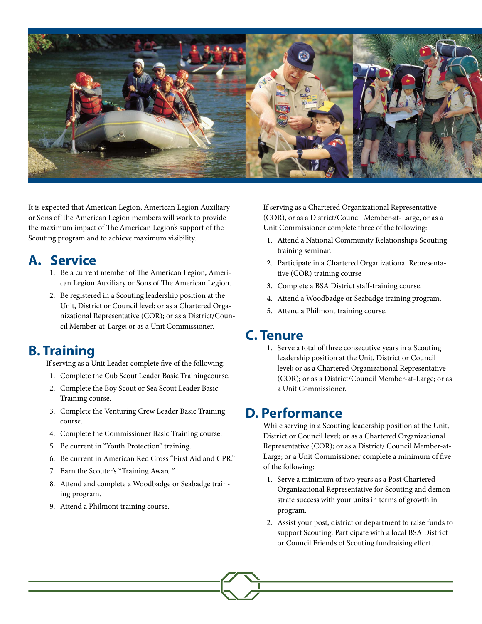

It is expected that American Legion, American Legion Auxiliary or Sons of The American Legion members will work to provide the maximum impact of The American Legion's support of the Scouting program and to achieve maximum visibility.

#### **A. Service**

- 1. Be a current member of The American Legion, American Legion Auxiliary or Sons of The American Legion.
- 2. Be registered in a Scouting leadership position at the Unit, District or Council level; or as a Chartered Organizational Representative (COR); or as a District/Council Member-at-Large; or as a Unit Commissioner.

# **B. Training**

If serving as a Unit Leader complete five of the following:

- 1. Complete the Cub Scout Leader Basic Trainingcourse.
- 2. Complete the Boy Scout or Sea Scout Leader Basic Training course.
- 3. Complete the Venturing Crew Leader Basic Training course.
- 4. Complete the Commissioner Basic Training course.
- 5. Be current in "Youth Protection" training.
- 6. Be current in American Red Cross "First Aid and CPR."
- 7. Earn the Scouter's "Training Award."
- 8. Attend and complete a Woodbadge or Seabadge training program.
- 9. Attend a Philmont training course.

If serving as a Chartered Organizational Representative (COR), or as a District/Council Member-at-Large, or as a Unit Commissioner complete three of the following:

- 1. Attend a National Community Relationships Scouting training seminar.
- 2. Participate in a Chartered Organizational Representative (COR) training course
- 3. Complete a BSA District staff-training course.
- 4. Attend a Woodbadge or Seabadge training program.
- 5. Attend a Philmont training course.

### **C. Tenure**

1. Serve a total of three consecutive years in a Scouting leadership position at the Unit, District or Council level; or as a Chartered Organizational Representative (COR); or as a District/Council Member-at-Large; or as a Unit Commissioner.

### **D. Performance**

While serving in a Scouting leadership position at the Unit, District or Council level; or as a Chartered Organizational Representative (COR); or as a District/ Council Member-at-Large; or a Unit Commissioner complete a minimum of five of the following:

- 1. Serve a minimum of two years as a Post Chartered Organizational Representative for Scouting and demonstrate success with your units in terms of growth in program.
- 2. Assist your post, district or department to raise funds to support Scouting. Participate with a local BSA District or Council Friends of Scouting fundraising effort.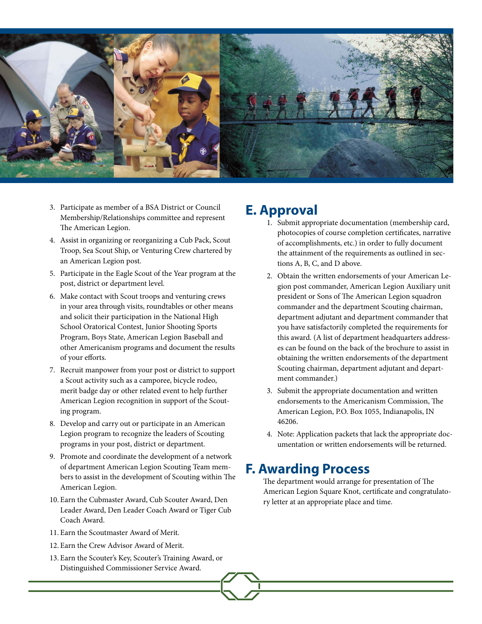

- 3. Participate as member of a BSA District or Council Membership/Relationships committee and represent The American Legion.
- 4. Assist in organizing or reorganizing a Cub Pack, Scout Troop, Sea Scout Ship, or Venturing Crew chartered by an American Legion post.
- 5. Participate in the Eagle Scout of the Year program at the post, district or department level.
- 6. Make contact with Scout troops and venturing crews in your area through visits, roundtables or other means and solicit their participation in the National High School Oratorical Contest, Junior Shooting Sports Program, Boys State, American Legion Baseball and other Americanism programs and document the results of your efforts.
- 7. Recruit manpower from your post or district to support a Scout activity such as a camporee, bicycle rodeo, merit badge day or other related event to help further American Legion recognition in support of the Scouting program.
- 8. Develop and carry out or participate in an American Legion program to recognize the leaders of Scouting programs in your post, district or department.
- 9. Promote and coordinate the development of a network of department American Legion Scouting Team members to assist in the development of Scouting within The American Legion.
- 10. Earn the Cubmaster Award, Cub Scouter Award, Den Leader Award, Den Leader Coach Award or Tiger Cub Coach Award.
- 11. Earn the Scoutmaster Award of Merit.
- 12. Earn the Crew Advisor Award of Merit.
- 13. Earn the Scouter's Key, Scouter's Training Award, or Distinguished Commissioner Service Award.

## **E. Approval**

- 1. Submit appropriate documentation (membership card, photocopies of course completion certificates, narrative of accomplishments, etc.) in order to fully document the attainment of the requirements as outlined in sections A, B, C, and D above.
- 2. Obtain the written endorsements of your American Legion post commander, American Legion Auxiliary unit president or Sons of The American Legion squadron commander and the department Scouting chairman, department adjutant and department commander that you have satisfactorily completed the requirements for this award. (A list of department headquarters addresses can be found on the back of the brochure to assist in obtaining the written endorsements of the department Scouting chairman, department adjutant and department commander.)
- 3. Submit the appropriate documentation and written endorsements to the Americanism Commission, The American Legion, P.O. Box 1055, Indianapolis, IN 46206.
- 4. Note: Application packets that lack the appropriate documentation or written endorsements will be returned.

### **F. Awarding Process**

The department would arrange for presentation of The American Legion Square Knot, certificate and congratulatory letter at an appropriate place and time.